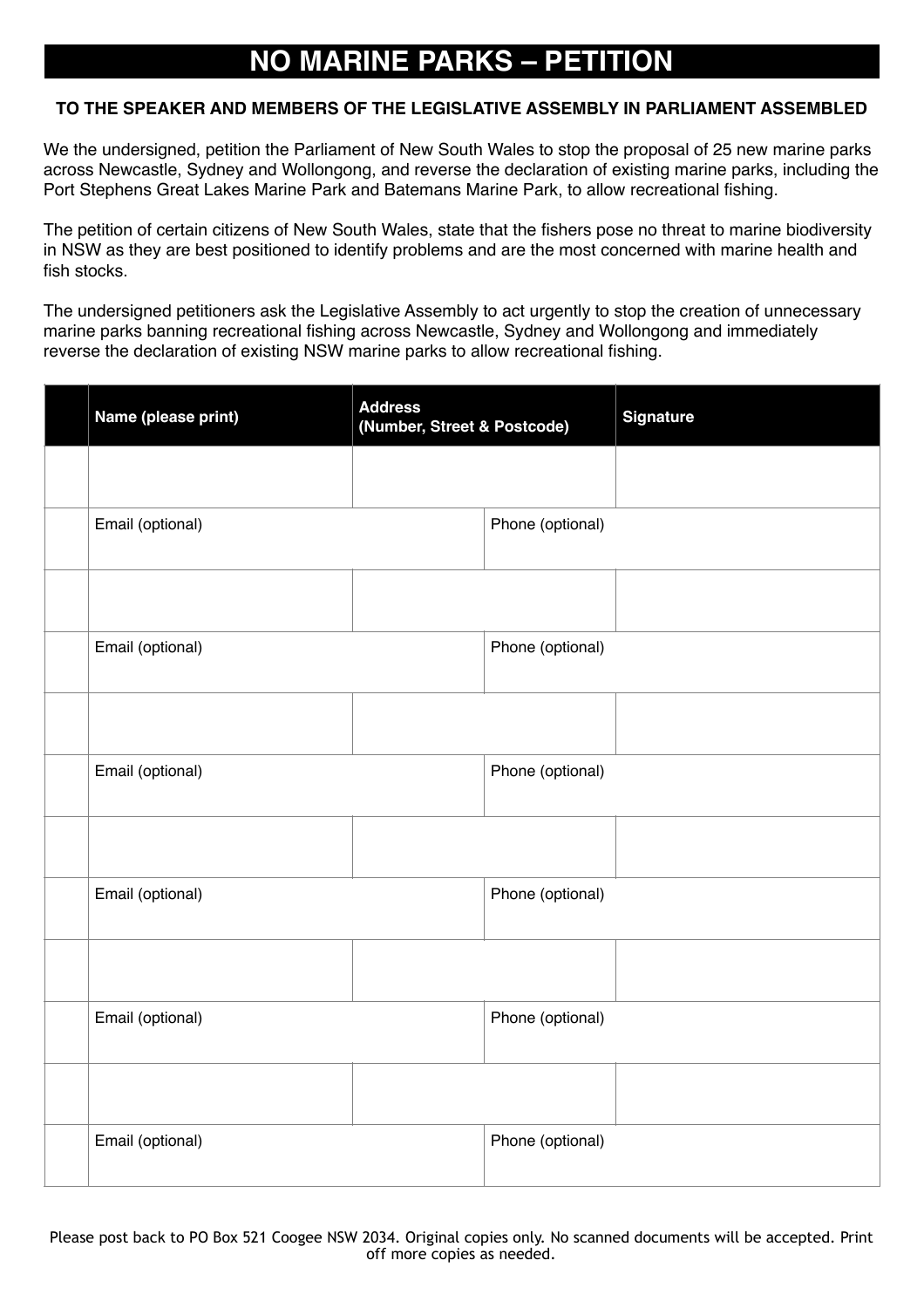## **NO MARINE PARKS – PETITION**

## **TO THE SPEAKER AND MEMBERS OF THE LEGISLATIVE ASSEMBLY IN PARLIAMENT ASSEMBLED**

We the undersigned, petition the Parliament of New South Wales to stop the proposal of 25 new marine parks across Newcastle, Sydney and Wollongong, and reverse the declaration of existing marine parks, including the Port Stephens Great Lakes Marine Park and Batemans Marine Park, to allow recreational fishing.

The petition of certain citizens of New South Wales, state that the fishers pose no threat to marine biodiversity in NSW as they are best positioned to identify problems and are the most concerned with marine health and fish stocks.

The undersigned petitioners ask the Legislative Assembly to act urgently to stop the creation of unnecessary marine parks banning recreational fishing across Newcastle, Sydney and Wollongong and immediately reverse the declaration of existing NSW marine parks to allow recreational fishing.

| Name (please print) | <b>Address</b><br>(Number, Street & Postcode) |                  | <b>Signature</b> |
|---------------------|-----------------------------------------------|------------------|------------------|
|                     |                                               |                  |                  |
| Email (optional)    |                                               | Phone (optional) |                  |
|                     |                                               |                  |                  |
| Email (optional)    |                                               | Phone (optional) |                  |
|                     |                                               |                  |                  |
| Email (optional)    |                                               | Phone (optional) |                  |
|                     |                                               |                  |                  |
| Email (optional)    |                                               | Phone (optional) |                  |
|                     |                                               |                  |                  |
| Email (optional)    |                                               | Phone (optional) |                  |
|                     |                                               |                  |                  |
| Email (optional)    |                                               | Phone (optional) |                  |